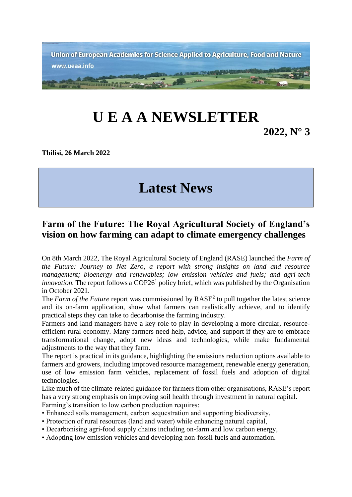

## **U E A A NEWSLETTER**

**2022, N° 3**

**Tbilisi, 26 March 2022** 

## **Latest News**

## **Farm of the Future: The Royal Agricultural Society of England's vision on how farming can adapt to climate emergency challenges**

On 8th March 2022, The Royal Agricultural Society of England (RASE) launched the *Farm of the Future: Journey to Net Zero, a report with strong insights on land and resource management; bioenergy and renewables; low emission vehicles and fuels; and agri-tech*  innovation. The report follows a COP26<sup>1</sup> policy brief, which was published by the Organisation in October 2021.

The *Farm of the Future* report was commissioned by RASE<sup>2</sup> to pull together the latest science and its on-farm application, show what farmers can realistically achieve, and to identify practical steps they can take to decarbonise the farming industry.

Farmers and land managers have a key role to play in developing a more circular, resourceefficient rural economy. Many farmers need help, advice, and support if they are to embrace transformational change, adopt new ideas and technologies, while make fundamental adjustments to the way that they farm.

The report is practical in its guidance, highlighting the emissions reduction options available to farmers and growers, including improved resource management, renewable energy generation, use of low emission farm vehicles, replacement of fossil fuels and adoption of digital technologies.

Like much of the climate-related guidance for farmers from other organisations, RASE's report has a very strong emphasis on improving soil health through investment in natural capital. Farming's transition to low carbon production requires:

- Enhanced soils management, carbon sequestration and supporting biodiversity,
- Protection of rural resources (land and water) while enhancing natural capital,
- Decarbonising agri-food supply chains including on-farm and low carbon energy,
- Adopting low emission vehicles and developing non-fossil fuels and automation.